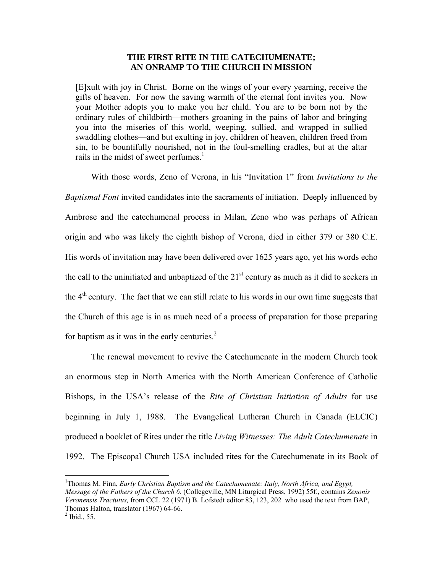## **THE FIRST RITE IN THE CATECHUMENATE; AN ONRAMP TO THE CHURCH IN MISSION**

[E]xult with joy in Christ. Borne on the wings of your every yearning, receive the gifts of heaven. For now the saving warmth of the eternal font invites you. Now your Mother adopts you to make you her child. You are to be born not by the ordinary rules of childbirth—mothers groaning in the pains of labor and bringing you into the miseries of this world, weeping, sullied, and wrapped in sullied swaddling clothes—and but exulting in joy, children of heaven, children freed from sin, to be bountifully nourished, not in the foul-smelling cradles, but at the altar rails in the midst of sweet perfumes. $<sup>1</sup>$ </sup>

 With those words, Zeno of Verona, in his "Invitation 1" from *Invitations to the Baptismal Font* invited candidates into the sacraments of initiation. Deeply influenced by Ambrose and the catechumenal process in Milan, Zeno who was perhaps of African origin and who was likely the eighth bishop of Verona, died in either 379 or 380 C.E. His words of invitation may have been delivered over 1625 years ago, yet his words echo the call to the uninitiated and unbaptized of the  $21<sup>st</sup>$  century as much as it did to seekers in the  $4<sup>th</sup>$  century. The fact that we can still relate to his words in our own time suggests that the Church of this age is in as much need of a process of preparation for those preparing for baptism as it was in the early centuries. $2$ 

 The renewal movement to revive the Catechumenate in the modern Church took an enormous step in North America with the North American Conference of Catholic Bishops, in the USA's release of the *Rite of Christian Initiation of Adults* for use beginning in July 1, 1988. The Evangelical Lutheran Church in Canada (ELCIC) produced a booklet of Rites under the title *Living Witnesses: The Adult Catechumenate* in 1992. The Episcopal Church USA included rites for the Catechumenate in its Book of

<sup>&</sup>lt;sup>1</sup>Thomas M. Finn, *Early Christian Baptism and the Catechumenate: Italy, North Africa, and Egypt, Message of the Fathers of the Church 6.* (Collegeville, MN Liturgical Press, 1992) 55f., contains *Zenonis Veronensis Tractutus,* from CCL 22 (1971) B. Lofstedt editor 83, 123, 202 who used the text from BAP, Thomas Halton, translator (1967) 64-66.<sup>2</sup>

 $<sup>2</sup>$  Ibid., 55.</sup>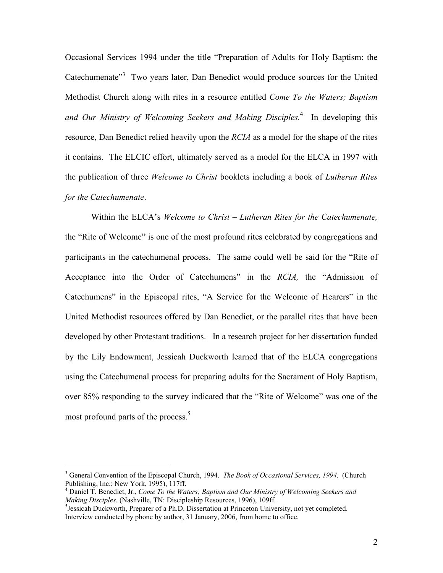Occasional Services 1994 under the title "Preparation of Adults for Holy Baptism: the Catechumenate<sup>33</sup> Two years later, Dan Benedict would produce sources for the United Methodist Church along with rites in a resource entitled *Come To the Waters; Baptism*  and Our Ministry of Welcoming Seekers and Making Disciples.<sup>4</sup> In developing this resource, Dan Benedict relied heavily upon the *RCIA* as a model for the shape of the rites it contains. The ELCIC effort, ultimately served as a model for the ELCA in 1997 with the publication of three *Welcome to Christ* booklets including a book of *Lutheran Rites for the Catechumenate*.

Within the ELCA's *Welcome to Christ – Lutheran Rites for the Catechumenate,*  the "Rite of Welcome" is one of the most profound rites celebrated by congregations and participants in the catechumenal process. The same could well be said for the "Rite of Acceptance into the Order of Catechumens" in the *RCIA,* the "Admission of Catechumens" in the Episcopal rites, "A Service for the Welcome of Hearers" in the United Methodist resources offered by Dan Benedict, or the parallel rites that have been developed by other Protestant traditions. In a research project for her dissertation funded by the Lily Endowment, Jessicah Duckworth learned that of the ELCA congregations using the Catechumenal process for preparing adults for the Sacrament of Holy Baptism, over 85% responding to the survey indicated that the "Rite of Welcome" was one of the most profound parts of the process.<sup>5</sup>

<sup>&</sup>lt;sup>3</sup> General Convention of the Episcopal Church, 1994. *The Book of Occasional Services, 1994.* (Church Publishing, Inc.: New York, 1995), 117ff.

<sup>4</sup> Daniel T. Benedict, Jr., *Come To the Waters; Baptism and Our Ministry of Welcoming Seekers and Making Disciples.* (Nashville, TN: Discipleship Resources, 1996), 109ff.

 $<sup>5</sup>$  Jessicah Duckworth, Preparer of a Ph.D. Dissertation at Princeton University, not yet completed.</sup> Interview conducted by phone by author, 31 January, 2006, from home to office.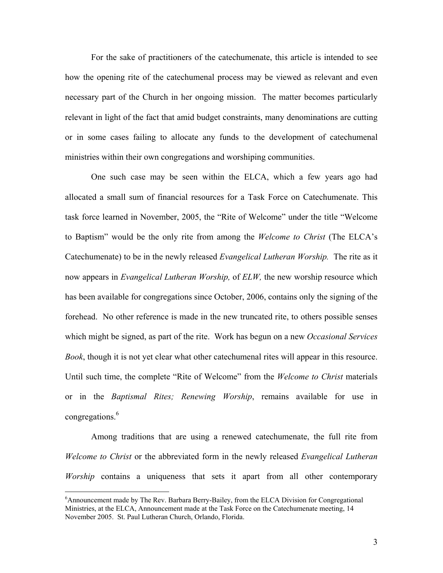For the sake of practitioners of the catechumenate, this article is intended to see how the opening rite of the catechumenal process may be viewed as relevant and even necessary part of the Church in her ongoing mission. The matter becomes particularly relevant in light of the fact that amid budget constraints, many denominations are cutting or in some cases failing to allocate any funds to the development of catechumenal ministries within their own congregations and worshiping communities.

One such case may be seen within the ELCA, which a few years ago had allocated a small sum of financial resources for a Task Force on Catechumenate. This task force learned in November, 2005, the "Rite of Welcome" under the title "Welcome to Baptism" would be the only rite from among the *Welcome to Christ* (The ELCA's Catechumenate) to be in the newly released *Evangelical Lutheran Worship.* The rite as it now appears in *Evangelical Lutheran Worship,* of *ELW,* the new worship resource which has been available for congregations since October, 2006, contains only the signing of the forehead. No other reference is made in the new truncated rite, to others possible senses which might be signed, as part of the rite. Work has begun on a new *Occasional Services Book*, though it is not yet clear what other catechumenal rites will appear in this resource. Until such time, the complete "Rite of Welcome" from the *Welcome to Christ* materials or in the *Baptismal Rites; Renewing Worship*, remains available for use in congregations.<sup>6</sup>

Among traditions that are using a renewed catechumenate, the full rite from *Welcome to Christ* or the abbreviated form in the newly released *Evangelical Lutheran Worship* contains a uniqueness that sets it apart from all other contemporary

1

<sup>&</sup>lt;sup>6</sup> Announcement made by The Rev. Barbara Berry-Bailey, from the ELCA Division for Congregational Ministries, at the ELCA, Announcement made at the Task Force on the Catechumenate meeting, 14 November 2005. St. Paul Lutheran Church, Orlando, Florida.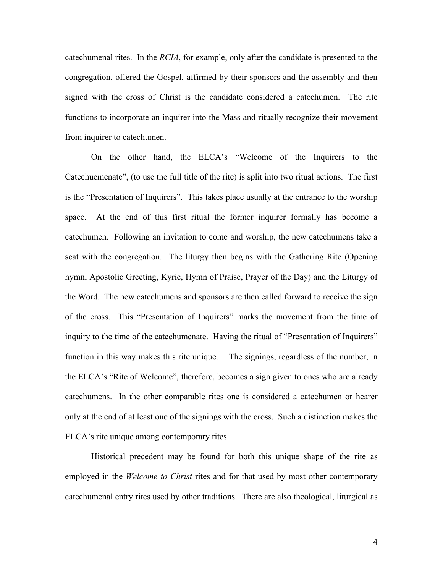catechumenal rites. In the *RCIA*, for example, only after the candidate is presented to the congregation, offered the Gospel, affirmed by their sponsors and the assembly and then signed with the cross of Christ is the candidate considered a catechumen. The rite functions to incorporate an inquirer into the Mass and ritually recognize their movement from inquirer to catechumen.

On the other hand, the ELCA's "Welcome of the Inquirers to the Catechuemenate", (to use the full title of the rite) is split into two ritual actions. The first is the "Presentation of Inquirers". This takes place usually at the entrance to the worship space. At the end of this first ritual the former inquirer formally has become a catechumen. Following an invitation to come and worship, the new catechumens take a seat with the congregation. The liturgy then begins with the Gathering Rite (Opening hymn, Apostolic Greeting, Kyrie, Hymn of Praise, Prayer of the Day) and the Liturgy of the Word. The new catechumens and sponsors are then called forward to receive the sign of the cross. This "Presentation of Inquirers" marks the movement from the time of inquiry to the time of the catechumenate. Having the ritual of "Presentation of Inquirers" function in this way makes this rite unique. The signings, regardless of the number, in the ELCA's "Rite of Welcome", therefore, becomes a sign given to ones who are already catechumens. In the other comparable rites one is considered a catechumen or hearer only at the end of at least one of the signings with the cross. Such a distinction makes the ELCA's rite unique among contemporary rites.

Historical precedent may be found for both this unique shape of the rite as employed in the *Welcome to Christ* rites and for that used by most other contemporary catechumenal entry rites used by other traditions. There are also theological, liturgical as

4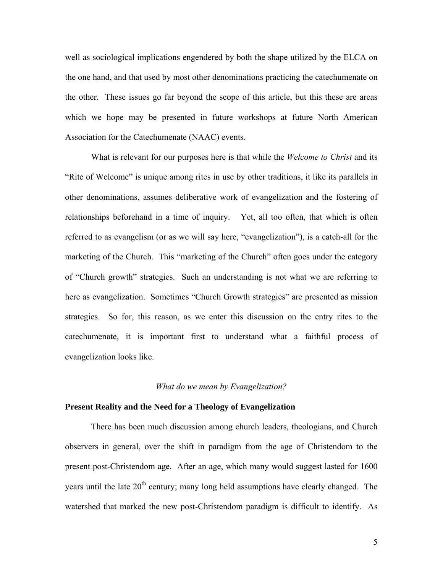well as sociological implications engendered by both the shape utilized by the ELCA on the one hand, and that used by most other denominations practicing the catechumenate on the other. These issues go far beyond the scope of this article, but this these are areas which we hope may be presented in future workshops at future North American Association for the Catechumenate (NAAC) events.

What is relevant for our purposes here is that while the *Welcome to Christ* and its "Rite of Welcome" is unique among rites in use by other traditions, it like its parallels in other denominations, assumes deliberative work of evangelization and the fostering of relationships beforehand in a time of inquiry. Yet, all too often, that which is often referred to as evangelism (or as we will say here, "evangelization"), is a catch-all for the marketing of the Church. This "marketing of the Church" often goes under the category of "Church growth" strategies. Such an understanding is not what we are referring to here as evangelization. Sometimes "Church Growth strategies" are presented as mission strategies. So for, this reason, as we enter this discussion on the entry rites to the catechumenate, it is important first to understand what a faithful process of evangelization looks like.

## *What do we mean by Evangelization?*

## **Present Reality and the Need for a Theology of Evangelization**

 There has been much discussion among church leaders, theologians, and Church observers in general, over the shift in paradigm from the age of Christendom to the present post-Christendom age. After an age, which many would suggest lasted for 1600 years until the late  $20<sup>th</sup>$  century; many long held assumptions have clearly changed. The watershed that marked the new post-Christendom paradigm is difficult to identify. As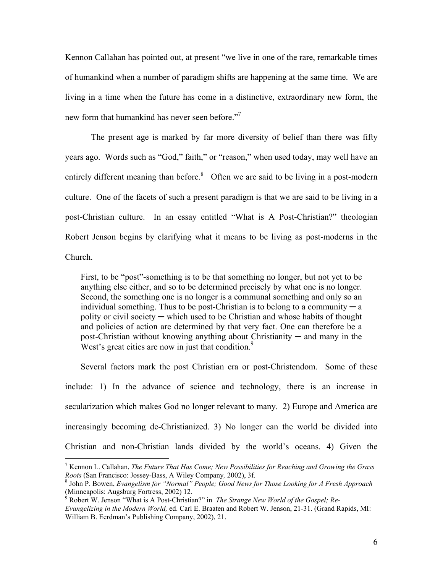Kennon Callahan has pointed out, at present "we live in one of the rare, remarkable times of humankind when a number of paradigm shifts are happening at the same time. We are living in a time when the future has come in a distinctive, extraordinary new form, the new form that humankind has never seen before."<sup>7</sup>

 The present age is marked by far more diversity of belief than there was fifty years ago. Words such as "God," faith," or "reason," when used today, may well have an entirely different meaning than before.<sup>8</sup> Often we are said to be living in a post-modern culture. One of the facets of such a present paradigm is that we are said to be living in a post-Christian culture. In an essay entitled "What is A Post-Christian?" theologian Robert Jenson begins by clarifying what it means to be living as post-moderns in the Church.

First, to be "post"-something is to be that something no longer, but not yet to be anything else either, and so to be determined precisely by what one is no longer. Second, the something one is no longer is a communal something and only so an individual something. Thus to be post-Christian is to belong to a community  $-a$ polity or civil society  $-$  which used to be Christian and whose habits of thought and policies of action are determined by that very fact. One can therefore be a post-Christian without knowing anything about Christianity  $-$  and many in the West's great cities are now in just that condition. $9$ 

Several factors mark the post Christian era or post-Christendom. Some of these include: 1) In the advance of science and technology, there is an increase in secularization which makes God no longer relevant to many. 2) Europe and America are increasingly becoming de-Christianized. 3) No longer can the world be divided into Christian and non-Christian lands divided by the world's oceans. 4) Given the

<sup>7</sup> Kennon L. Callahan, *The Future That Has Come; New Possibilities for Reaching and Growing the Grass Roots* (San Francisco: Jossey-Bass, A Wiley Company, 2002), 3f.

John P. Bowen, *Evangelism for "Normal" People; Good News for Those Looking for A Fresh Approach* (Minneapolis: Augsburg Fortress, 2002) 12. 9 Robert W. Jenson "What is A Post-Christian?" in *The Strange New World of the Gospel; Re-*

*Evangelizing in the Modern World,* ed. Carl E. Braaten and Robert W. Jenson, 21-31. (Grand Rapids, MI: William B. Eerdman's Publishing Company, 2002), 21.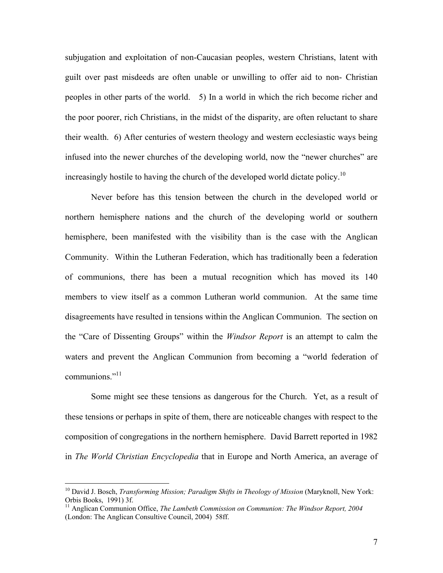subjugation and exploitation of non-Caucasian peoples, western Christians, latent with guilt over past misdeeds are often unable or unwilling to offer aid to non- Christian peoples in other parts of the world. 5) In a world in which the rich become richer and the poor poorer, rich Christians, in the midst of the disparity, are often reluctant to share their wealth. 6) After centuries of western theology and western ecclesiastic ways being infused into the newer churches of the developing world, now the "newer churches" are increasingly hostile to having the church of the developed world dictate policy.<sup>10</sup>

 Never before has this tension between the church in the developed world or northern hemisphere nations and the church of the developing world or southern hemisphere, been manifested with the visibility than is the case with the Anglican Community. Within the Lutheran Federation, which has traditionally been a federation of communions, there has been a mutual recognition which has moved its 140 members to view itself as a common Lutheran world communion. At the same time disagreements have resulted in tensions within the Anglican Communion. The section on the "Care of Dissenting Groups" within the *Windsor Report* is an attempt to calm the waters and prevent the Anglican Communion from becoming a "world federation of communions."<sup>11</sup>

 Some might see these tensions as dangerous for the Church. Yet, as a result of these tensions or perhaps in spite of them, there are noticeable changes with respect to the composition of congregations in the northern hemisphere. David Barrett reported in 1982 in *The World Christian Encyclopedia* that in Europe and North America, an average of

<u>.</u>

<sup>10</sup> David J. Bosch, *Transforming Mission; Paradigm Shifts in Theology of Mission* (Maryknoll, New York: Orbis Books, 1991) 3f.

<sup>&</sup>lt;sup>11</sup> Anglican Communion Office, *The Lambeth Commission on Communion: The Windsor Report, 2004* (London: The Anglican Consultive Council, 2004) 58ff.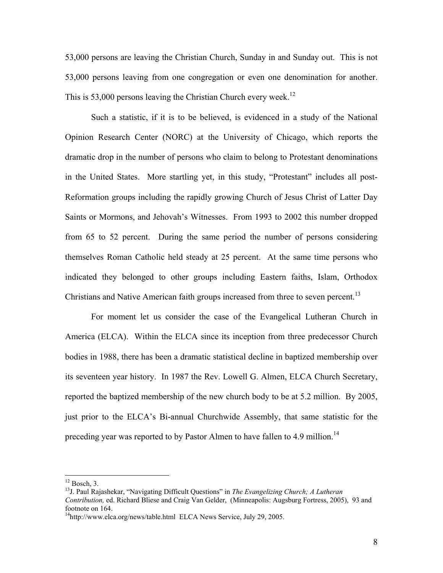53,000 persons are leaving the Christian Church, Sunday in and Sunday out. This is not 53,000 persons leaving from one congregation or even one denomination for another. This is 53,000 persons leaving the Christian Church every week.<sup>12</sup>

 Such a statistic, if it is to be believed, is evidenced in a study of the National Opinion Research Center (NORC) at the University of Chicago, which reports the dramatic drop in the number of persons who claim to belong to Protestant denominations in the United States. More startling yet, in this study, "Protestant" includes all post-Reformation groups including the rapidly growing Church of Jesus Christ of Latter Day Saints or Mormons, and Jehovah's Witnesses. From 1993 to 2002 this number dropped from 65 to 52 percent. During the same period the number of persons considering themselves Roman Catholic held steady at 25 percent. At the same time persons who indicated they belonged to other groups including Eastern faiths, Islam, Orthodox Christians and Native American faith groups increased from three to seven percent.<sup>13</sup>

 For moment let us consider the case of the Evangelical Lutheran Church in America (ELCA). Within the ELCA since its inception from three predecessor Church bodies in 1988, there has been a dramatic statistical decline in baptized membership over its seventeen year history. In 1987 the Rev. Lowell G. Almen, ELCA Church Secretary, reported the baptized membership of the new church body to be at 5.2 million. By 2005, just prior to the ELCA's Bi-annual Churchwide Assembly, that same statistic for the preceding year was reported to by Pastor Almen to have fallen to 4.9 million.<sup>14</sup>

 $12$  Bosch, 3.

<sup>13</sup>J. Paul Rajashekar, "Navigating Difficult Questions" in *The Evangelizing Church; A Lutheran Contribution,* ed. Richard Bliese and Craig Van Gelder, (Minneapolis: Augsburg Fortress, 2005), 93 and footnote on 164.

<sup>&</sup>lt;sup>14</sup>http://www.elca.org/news/table.html ELCA News Service, July 29, 2005.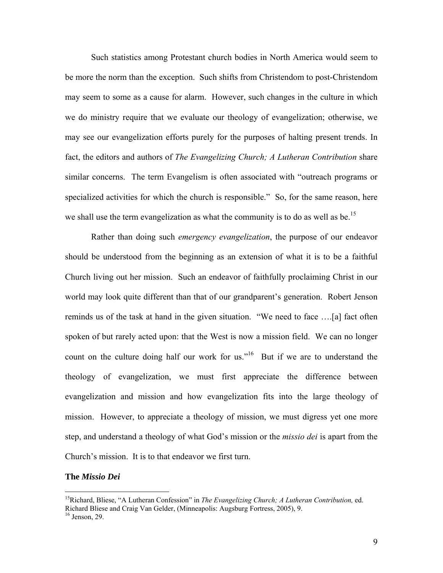Such statistics among Protestant church bodies in North America would seem to be more the norm than the exception. Such shifts from Christendom to post-Christendom may seem to some as a cause for alarm. However, such changes in the culture in which we do ministry require that we evaluate our theology of evangelization; otherwise, we may see our evangelization efforts purely for the purposes of halting present trends. In fact, the editors and authors of *The Evangelizing Church; A Lutheran Contribution* share similar concerns. The term Evangelism is often associated with "outreach programs or specialized activities for which the church is responsible." So, for the same reason, here we shall use the term evangelization as what the community is to do as well as be.<sup>15</sup>

 Rather than doing such *emergency evangelization*, the purpose of our endeavor should be understood from the beginning as an extension of what it is to be a faithful Church living out her mission. Such an endeavor of faithfully proclaiming Christ in our world may look quite different than that of our grandparent's generation. Robert Jenson reminds us of the task at hand in the given situation. "We need to face ….[a] fact often spoken of but rarely acted upon: that the West is now a mission field. We can no longer count on the culture doing half our work for us."<sup>16</sup> But if we are to understand the theology of evangelization, we must first appreciate the difference between evangelization and mission and how evangelization fits into the large theology of mission. However, to appreciate a theology of mission, we must digress yet one more step, and understand a theology of what God's mission or the *missio dei* is apart from the Church's mission. It is to that endeavor we first turn.

## **The** *Missio Dei*

<sup>15</sup>Richard, Bliese, "A Lutheran Confession" in *The Evangelizing Church; A Lutheran Contribution,* ed. Richard Bliese and Craig Van Gelder, (Minneapolis: Augsburg Fortress, 2005), 9.

 $16$  Jenson, 29.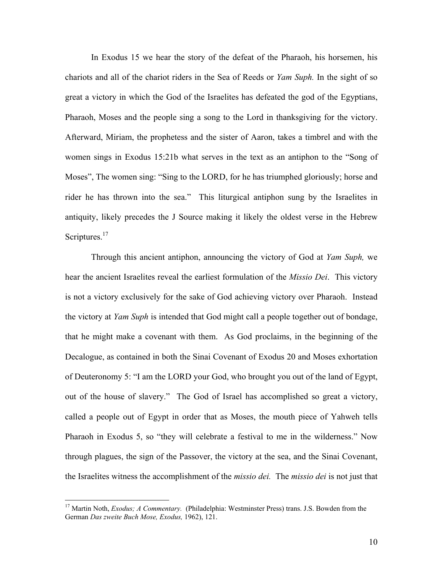In Exodus 15 we hear the story of the defeat of the Pharaoh, his horsemen, his chariots and all of the chariot riders in the Sea of Reeds or *Yam Suph.* In the sight of so great a victory in which the God of the Israelites has defeated the god of the Egyptians, Pharaoh, Moses and the people sing a song to the Lord in thanksgiving for the victory. Afterward, Miriam, the prophetess and the sister of Aaron, takes a timbrel and with the women sings in Exodus 15:21b what serves in the text as an antiphon to the "Song of Moses", The women sing: "Sing to the LORD, for he has triumphed gloriously; horse and rider he has thrown into the sea." This liturgical antiphon sung by the Israelites in antiquity, likely precedes the J Source making it likely the oldest verse in the Hebrew Scriptures.<sup>17</sup>

 Through this ancient antiphon, announcing the victory of God at *Yam Suph,* we hear the ancient Israelites reveal the earliest formulation of the *Missio Dei*. This victory is not a victory exclusively for the sake of God achieving victory over Pharaoh. Instead the victory at *Yam Suph* is intended that God might call a people together out of bondage, that he might make a covenant with them. As God proclaims, in the beginning of the Decalogue, as contained in both the Sinai Covenant of Exodus 20 and Moses exhortation of Deuteronomy 5: "I am the LORD your God, who brought you out of the land of Egypt, out of the house of slavery." The God of Israel has accomplished so great a victory, called a people out of Egypt in order that as Moses, the mouth piece of Yahweh tells Pharaoh in Exodus 5, so "they will celebrate a festival to me in the wilderness." Now through plagues, the sign of the Passover, the victory at the sea, and the Sinai Covenant, the Israelites witness the accomplishment of the *missio dei.* The *missio dei* is not just that

1

<sup>&</sup>lt;sup>17</sup> Martin Noth, *Exodus; A Commentary.* (Philadelphia: Westminster Press) trans. J.S. Bowden from the German *Das zweite Buch Mose, Exodus,* 1962), 121.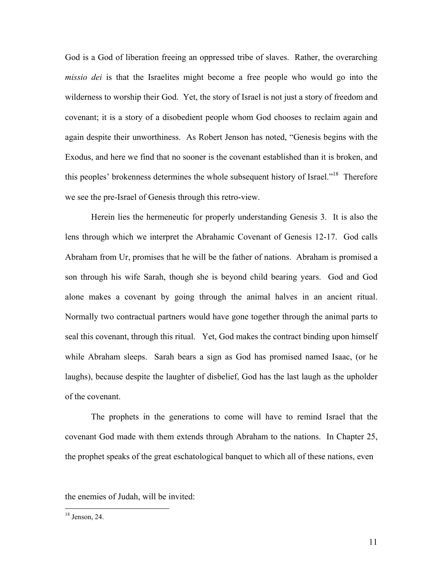God is a God of liberation freeing an oppressed tribe of slaves. Rather, the overarching *missio dei* is that the Israelites might become a free people who would go into the wilderness to worship their God. Yet, the story of Israel is not just a story of freedom and covenant; it is a story of a disobedient people whom God chooses to reclaim again and again despite their unworthiness. As Robert Jenson has noted, "Genesis begins with the Exodus, and here we find that no sooner is the covenant established than it is broken, and this peoples' brokenness determines the whole subsequent history of Israel."18 Therefore we see the pre-Israel of Genesis through this retro-view.

Herein lies the hermeneutic for properly understanding Genesis 3. It is also the lens through which we interpret the Abrahamic Covenant of Genesis 12-17. God calls Abraham from Ur, promises that he will be the father of nations. Abraham is promised a son through his wife Sarah, though she is beyond child bearing years. God and God alone makes a covenant by going through the animal halves in an ancient ritual. Normally two contractual partners would have gone together through the animal parts to seal this covenant, through this ritual. Yet, God makes the contract binding upon himself while Abraham sleeps. Sarah bears a sign as God has promised named Isaac, (or he laughs), because despite the laughter of disbelief, God has the last laugh as the upholder of the covenant.

The prophets in the generations to come will have to remind Israel that the covenant God made with them extends through Abraham to the nations. In Chapter 25, the prophet speaks of the great eschatological banquet to which all of these nations, even

the enemies of Judah, will be invited:

 $18$  Jenson, 24.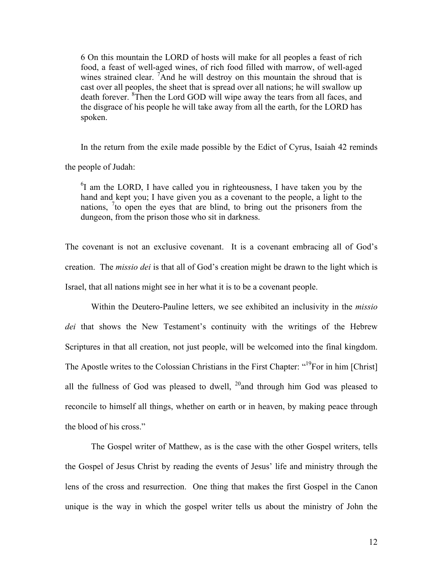6 On this mountain the LORD of hosts will make for all peoples a feast of rich food, a feast of well-aged wines, of rich food filled with marrow, of well-aged wines strained clear. <sup>7</sup>And he will destroy on this mountain the shroud that is cast over all peoples, the sheet that is spread over all nations; he will swallow up death forever. <sup>8</sup> Then the Lord GOD will wipe away the tears from all faces, and the disgrace of his people he will take away from all the earth, for the LORD has spoken.

In the return from the exile made possible by the Edict of Cyrus, Isaiah 42 reminds the people of Judah:

<sup>6</sup>I am the LORD, I have called you in righteousness, I have taken you by the hand and kept you; I have given you as a covenant to the people, a light to the nations, <sup>7</sup> to open the eyes that are blind, to bring out the prisoners from the dungeon, from the prison those who sit in darkness.

The covenant is not an exclusive covenant. It is a covenant embracing all of God's creation. The *missio dei* is that all of God's creation might be drawn to the light which is Israel, that all nations might see in her what it is to be a covenant people.

 Within the Deutero-Pauline letters, we see exhibited an inclusivity in the *missio dei* that shows the New Testament's continuity with the writings of the Hebrew Scriptures in that all creation, not just people, will be welcomed into the final kingdom. The Apostle writes to the Colossian Christians in the First Chapter: "<sup>19</sup>For in him [Christ] all the fullness of God was pleased to dwell,  $^{20}$  and through him God was pleased to reconcile to himself all things, whether on earth or in heaven, by making peace through the blood of his cross."

 The Gospel writer of Matthew, as is the case with the other Gospel writers, tells the Gospel of Jesus Christ by reading the events of Jesus' life and ministry through the lens of the cross and resurrection. One thing that makes the first Gospel in the Canon unique is the way in which the gospel writer tells us about the ministry of John the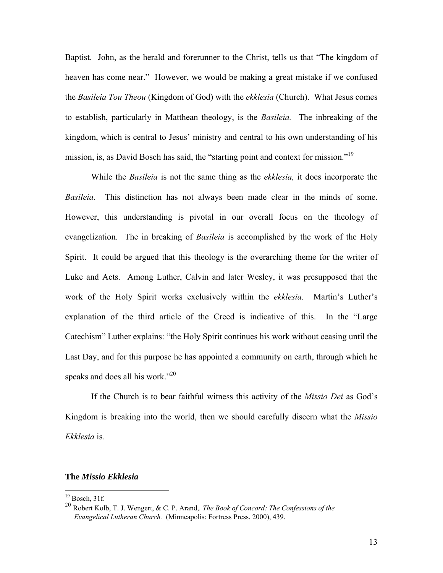Baptist. John, as the herald and forerunner to the Christ, tells us that "The kingdom of heaven has come near." However, we would be making a great mistake if we confused the *Basileia Tou Theou* (Kingdom of God) with the *ekklesia* (Church). What Jesus comes to establish, particularly in Matthean theology, is the *Basileia.* The inbreaking of the kingdom, which is central to Jesus' ministry and central to his own understanding of his mission, is, as David Bosch has said, the "starting point and context for mission."<sup>19</sup>

 While the *Basileia* is not the same thing as the *ekklesia,* it does incorporate the *Basileia.* This distinction has not always been made clear in the minds of some. However, this understanding is pivotal in our overall focus on the theology of evangelization. The in breaking of *Basileia* is accomplished by the work of the Holy Spirit. It could be argued that this theology is the overarching theme for the writer of Luke and Acts. Among Luther, Calvin and later Wesley, it was presupposed that the work of the Holy Spirit works exclusively within the *ekklesia.* Martin's Luther's explanation of the third article of the Creed is indicative of this. In the "Large Catechism" Luther explains: "the Holy Spirit continues his work without ceasing until the Last Day, and for this purpose he has appointed a community on earth, through which he speaks and does all his work."<sup>20</sup>

 If the Church is to bear faithful witness this activity of the *Missio Dei* as God's Kingdom is breaking into the world, then we should carefully discern what the *Missio Ekklesia* is*.* 

## **The** *Missio Ekklesia*

 $19$  Bosch, 31f.

<sup>20</sup> Robert Kolb, T. J. Wengert, & C. P. Arand,. *The Book of Concord: The Confessions of the Evangelical Lutheran Church.* (Minneapolis: Fortress Press, 2000), 439.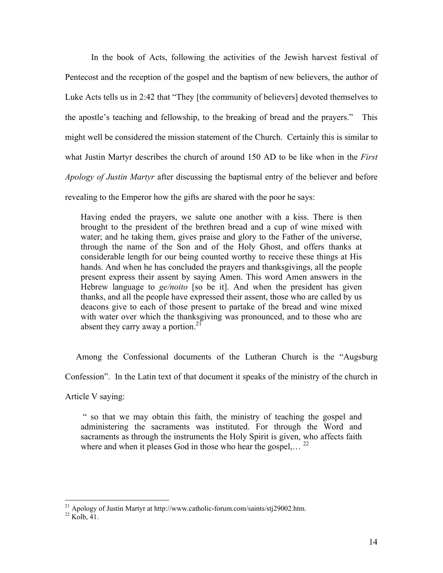In the book of Acts, following the activities of the Jewish harvest festival of Pentecost and the reception of the gospel and the baptism of new believers, the author of Luke Acts tells us in 2:42 that "They [the community of believers] devoted themselves to the apostle's teaching and fellowship, to the breaking of bread and the prayers." This might well be considered the mission statement of the Church. Certainly this is similar to what Justin Martyr describes the church of around 150 AD to be like when in the *First Apology of Justin Martyr* after discussing the baptismal entry of the believer and before revealing to the Emperor how the gifts are shared with the poor he says:

Having ended the prayers, we salute one another with a kiss. There is then brought to the president of the brethren bread and a cup of wine mixed with water; and he taking them, gives praise and glory to the Father of the universe, through the name of the Son and of the Holy Ghost, and offers thanks at considerable length for our being counted worthy to receive these things at His hands. And when he has concluded the prayers and thanksgivings, all the people present express their assent by saying Amen. This word Amen answers in the Hebrew language to *ge/noito* [so be it]. And when the president has given thanks, and all the people have expressed their assent, those who are called by us deacons give to each of those present to partake of the bread and wine mixed with water over which the thanksgiving was pronounced, and to those who are absent they carry away a portion.<sup>21</sup>

 Among the Confessional documents of the Lutheran Church is the "Augsburg Confession". In the Latin text of that document it speaks of the ministry of the church in

Article V saying:

 " so that we may obtain this faith, the ministry of teaching the gospel and administering the sacraments was instituted. For through the Word and sacraments as through the instruments the Holy Spirit is given, who affects faith where and when it pleases God in those who hear the gospel...

<sup>&</sup>lt;sup>21</sup> Apology of Justin Martyr at http://www.catholic-forum.com/saints/stj29002.htm.  $^{22}$  Kolb, 41.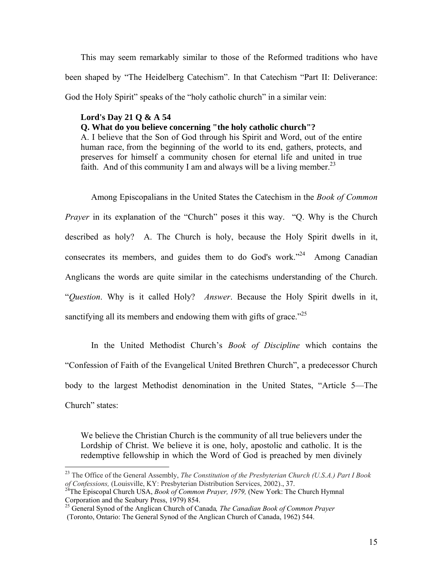This may seem remarkably similar to those of the Reformed traditions who have been shaped by "The Heidelberg Catechism". In that Catechism "Part II: Deliverance: God the Holy Spirit" speaks of the "holy catholic church" in a similar vein:

## **Lord's Day 21 Q & A 54**

 $\overline{a}$ 

**Q. What do you believe concerning "the holy catholic church"?**

A. I believe that the Son of God through his Spirit and Word, out of the entire human race, from the beginning of the world to its end, gathers, protects, and preserves for himself a community chosen for eternal life and united in true faith. And of this community I am and always will be a living member.<sup>23</sup>

Among Episcopalians in the United States the Catechism in the *Book of Common Prayer* in its explanation of the "Church" poses it this way. "Q. Why is the Church described as holy? A. The Church is holy, because the Holy Spirit dwells in it, consecrates its members, and guides them to do God's work."24 Among Canadian Anglicans the words are quite similar in the catechisms understanding of the Church. "*Question*. Why is it called Holy? *Answer*. Because the Holy Spirit dwells in it, sanctifying all its members and endowing them with gifts of grace.<sup>225</sup>

 In the United Methodist Church's *Book of Discipline* which contains the "Confession of Faith of the Evangelical United Brethren Church", a predecessor Church body to the largest Methodist denomination in the United States, "Article 5—The Church" states:

We believe the Christian Church is the community of all true believers under the Lordship of Christ. We believe it is one, holy, apostolic and catholic. It is the redemptive fellowship in which the Word of God is preached by men divinely

<sup>23</sup> The Office of the General Assembly, *The Constitution of the Presbyterian Church (U.S.A.) Part I Book of Confessions,* (Louisville, KY: Presbyterian Distribution Services, 2002)., 37. 24The Episcopal Church USA, *Book of Common Prayer, 1979,* (New York: The Church Hymnal

Corporation and the Seabury Press, 1979) 854.

<sup>&</sup>lt;sup>25</sup> General Synod of the Anglican Church of Canada, *The Canadian Book of Common Prayer* (Toronto, Ontario: The General Synod of the Anglican Church of Canada, 1962) 544.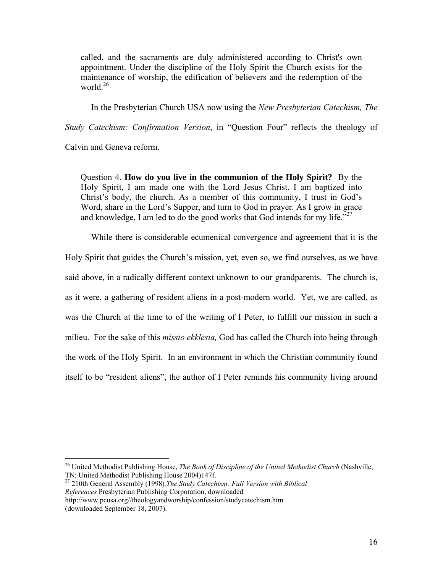called, and the sacraments are duly administered according to Christ's own appointment. Under the discipline of the Holy Spirit the Church exists for the maintenance of worship, the edification of believers and the redemption of the world. $26$ 

In the Presbyterian Church USA now using the *New Presbyterian Catechism, The* 

*Study Catechism: Confirmation Version*, in "Question Four" reflects the theology of

Calvin and Geneva reform.

 $\overline{a}$ 

Question 4. **How do you live in the communion of the Holy Spirit?** By the Holy Spirit, I am made one with the Lord Jesus Christ. I am baptized into Christ's body, the church. As a member of this community, I trust in God's Word, share in the Lord's Supper, and turn to God in prayer. As I grow in grace and knowledge, I am led to do the good works that God intends for my life.<sup> $27$ </sup>

While there is considerable ecumenical convergence and agreement that it is the

Holy Spirit that guides the Church's mission, yet, even so, we find ourselves, as we have said above, in a radically different context unknown to our grandparents. The church is,

as it were, a gathering of resident aliens in a post-modern world. Yet, we are called, as

was the Church at the time to of the writing of I Peter, to fulfill our mission in such a

milieu. For the sake of this *missio ekklesia,* God has called the Church into being through

the work of the Holy Spirit. In an environment in which the Christian community found itself to be "resident aliens", the author of I Peter reminds his community living around

<sup>&</sup>lt;sup>26</sup> United Methodist Publishing House, *The Book of Discipline of the United Methodist Church* (Nashville, TN: United Methodist Publishing House 2004)147f.

<sup>&</sup>lt;sup>27</sup> 210th General Assembly (1998), The Study Catechism: Full Version with Biblical *References* Presbyterian Publishing Corporation, downloaded

http://www.pcusa.org//theologyandworship/confession/studycatechism.htm (downloaded September 18, 2007).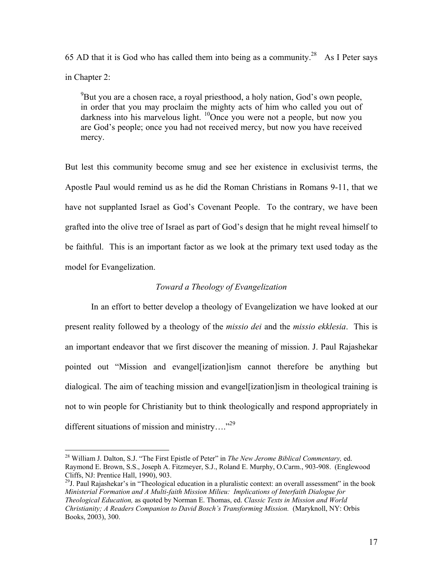65 AD that it is God who has called them into being as a community.<sup>28</sup> As I Peter says in Chapter 2:

 $^{9}$ But you are a chosen race, a royal priesthood, a holy nation, God's own people, in order that you may proclaim the mighty acts of him who called you out of darkness into his marvelous light. <sup>10</sup>Once you were not a people, but now you are God's people; once you had not received mercy, but now you have received mercy.

But lest this community become smug and see her existence in exclusivist terms, the Apostle Paul would remind us as he did the Roman Christians in Romans 9-11, that we have not supplanted Israel as God's Covenant People. To the contrary, we have been grafted into the olive tree of Israel as part of God's design that he might reveal himself to be faithful. This is an important factor as we look at the primary text used today as the model for Evangelization.

# *Toward a Theology of Evangelization*

 In an effort to better develop a theology of Evangelization we have looked at our present reality followed by a theology of the *missio dei* and the *missio ekklesia*. This is an important endeavor that we first discover the meaning of mission. J. Paul Rajashekar pointed out "Mission and evangel[ization]ism cannot therefore be anything but dialogical. The aim of teaching mission and evangel[ization]ism in theological training is not to win people for Christianity but to think theologically and respond appropriately in different situations of mission and ministry...."<sup>29</sup>

1

<sup>29</sup>J. Paul Rajashekar's in "Theological education in a pluralistic context: an overall assessment" in the book *Ministerial Formation and A Multi-faith Mission Milieu: Implications of Interfaith Dialogue for Theological Education,* as quoted by Norman E. Thomas, ed. *Classic Texts in Mission and World Christianity; A Readers Companion to David Bosch's Transforming Mission.* (Maryknoll, NY: Orbis Books, 2003), 300.

<sup>28</sup> William J. Dalton, S.J. "The First Epistle of Peter" in *The New Jerome Biblical Commentary,* ed. Raymond E. Brown, S.S., Joseph A. Fitzmeyer, S.J., Roland E. Murphy, O.Carm., 903-908. (Englewood Cliffs, NJ: Prentice Hall, 1990), 903.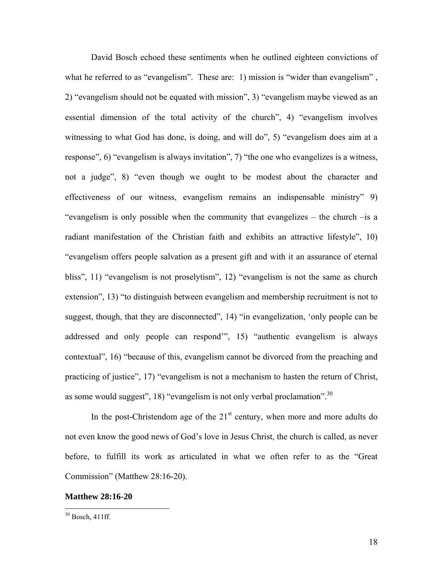David Bosch echoed these sentiments when he outlined eighteen convictions of what he referred to as "evangelism". These are: 1) mission is "wider than evangelism", 2) "evangelism should not be equated with mission", 3) "evangelism maybe viewed as an essential dimension of the total activity of the church", 4) "evangelism involves witnessing to what God has done, is doing, and will do", 5) "evangelism does aim at a response", 6) "evangelism is always invitation", 7) "the one who evangelizes is a witness, not a judge", 8) "even though we ought to be modest about the character and effectiveness of our witness, evangelism remains an indispensable ministry" 9) "evangelism is only possible when the community that evangelizes – the church –is a radiant manifestation of the Christian faith and exhibits an attractive lifestyle", 10) "evangelism offers people salvation as a present gift and with it an assurance of eternal bliss", 11) "evangelism is not proselytism", 12) "evangelism is not the same as church extension", 13) "to distinguish between evangelism and membership recruitment is not to suggest, though, that they are disconnected", 14) "in evangelization, 'only people can be addressed and only people can respond'", 15) "authentic evangelism is always contextual", 16) "because of this, evangelism cannot be divorced from the preaching and practicing of justice", 17) "evangelism is not a mechanism to hasten the return of Christ, as some would suggest", 18) "evangelism is not only verbal proclamation".<sup>30</sup>

In the post-Christendom age of the  $21<sup>st</sup>$  century, when more and more adults do not even know the good news of God's love in Jesus Christ, the church is called, as never before, to fulfill its work as articulated in what we often refer to as the "Great Commission" (Matthew 28:16-20).

#### **Matthew 28:16-20**

 $30$  Bosch, 411ff.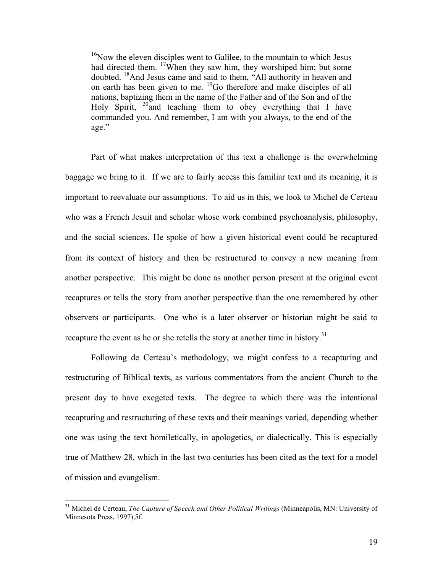$16$ Now the eleven disciples went to Galilee, to the mountain to which Jesus had directed them. <sup>17</sup>When they saw him, they worshiped him; but some doubted. 18And Jesus came and said to them, "All authority in heaven and on earth has been given to me. 19Go therefore and make disciples of all nations, baptizing them in the name of the Father and of the Son and of the Holy Spirit,  $20$  and teaching them to obey everything that I have commanded you. And remember, I am with you always, to the end of the age."

 Part of what makes interpretation of this text a challenge is the overwhelming baggage we bring to it. If we are to fairly access this familiar text and its meaning, it is important to reevaluate our assumptions. To aid us in this, we look to Michel de Certeau who was a French Jesuit and scholar whose work combined psychoanalysis, philosophy, and the social sciences. He spoke of how a given historical event could be recaptured from its context of history and then be restructured to convey a new meaning from another perspective. This might be done as another person present at the original event recaptures or tells the story from another perspective than the one remembered by other observers or participants. One who is a later observer or historian might be said to recapture the event as he or she retells the story at another time in history.<sup>31</sup>

Following de Certeau's methodology, we might confess to a recapturing and restructuring of Biblical texts, as various commentators from the ancient Church to the present day to have exegeted texts. The degree to which there was the intentional recapturing and restructuring of these texts and their meanings varied, depending whether one was using the text homiletically, in apologetics, or dialectically. This is especially true of Matthew 28, which in the last two centuries has been cited as the text for a model of mission and evangelism.

<sup>31</sup> Michel de Certeau, *The Capture of Speech and Other Political Writings* (Minneapolis, MN: University of Minnesota Press, 1997),5f.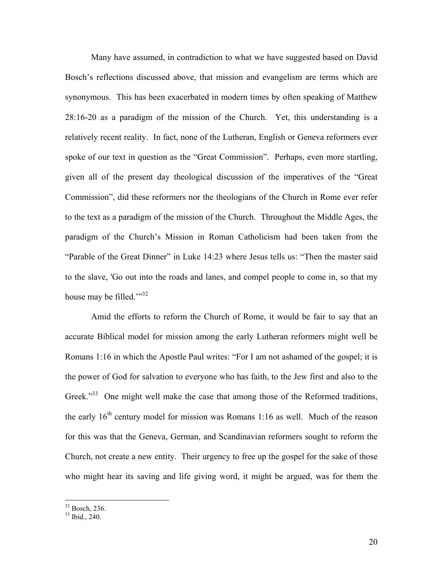Many have assumed, in contradiction to what we have suggested based on David Bosch's reflections discussed above, that mission and evangelism are terms which are synonymous. This has been exacerbated in modern times by often speaking of Matthew 28:16-20 as a paradigm of the mission of the Church. Yet, this understanding is a relatively recent reality. In fact, none of the Lutheran, English or Geneva reformers ever spoke of our text in question as the "Great Commission". Perhaps, even more startling, given all of the present day theological discussion of the imperatives of the "Great Commission", did these reformers nor the theologians of the Church in Rome ever refer to the text as a paradigm of the mission of the Church. Throughout the Middle Ages, the paradigm of the Church's Mission in Roman Catholicism had been taken from the "Parable of the Great Dinner" in Luke 14:23 where Jesus tells us: "Then the master said to the slave, 'Go out into the roads and lanes, and compel people to come in, so that my house may be filled. $\frac{1}{32}$ 

Amid the efforts to reform the Church of Rome, it would be fair to say that an accurate Biblical model for mission among the early Lutheran reformers might well be Romans 1:16 in which the Apostle Paul writes: "For I am not ashamed of the gospel; it is the power of God for salvation to everyone who has faith, to the Jew first and also to the Greek."<sup>33</sup> One might well make the case that among those of the Reformed traditions, the early  $16<sup>th</sup>$  century model for mission was Romans 1:16 as well. Much of the reason for this was that the Geneva, German, and Scandinavian reformers sought to reform the Church, not create a new entity. Their urgency to free up the gospel for the sake of those who might hear its saving and life giving word, it might be argued, was for them the

1

 $32$  Bosch, 236.

 $33$  Ibid., 240.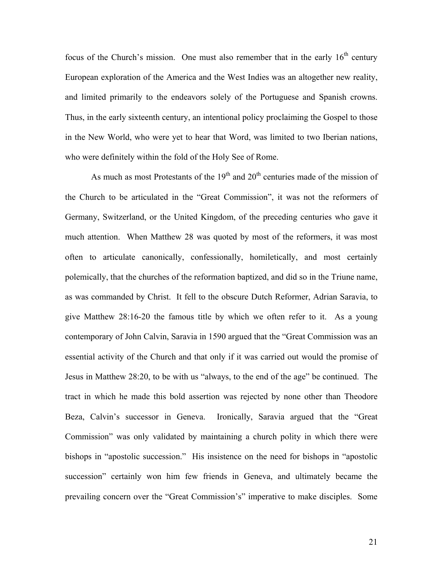focus of the Church's mission. One must also remember that in the early  $16<sup>th</sup>$  century European exploration of the America and the West Indies was an altogether new reality, and limited primarily to the endeavors solely of the Portuguese and Spanish crowns. Thus, in the early sixteenth century, an intentional policy proclaiming the Gospel to those in the New World, who were yet to hear that Word, was limited to two Iberian nations, who were definitely within the fold of the Holy See of Rome.

As much as most Protestants of the  $19<sup>th</sup>$  and  $20<sup>th</sup>$  centuries made of the mission of the Church to be articulated in the "Great Commission", it was not the reformers of Germany, Switzerland, or the United Kingdom, of the preceding centuries who gave it much attention. When Matthew 28 was quoted by most of the reformers, it was most often to articulate canonically, confessionally, homiletically, and most certainly polemically, that the churches of the reformation baptized, and did so in the Triune name, as was commanded by Christ. It fell to the obscure Dutch Reformer, Adrian Saravia, to give Matthew 28:16-20 the famous title by which we often refer to it. As a young contemporary of John Calvin, Saravia in 1590 argued that the "Great Commission was an essential activity of the Church and that only if it was carried out would the promise of Jesus in Matthew 28:20, to be with us "always, to the end of the age" be continued. The tract in which he made this bold assertion was rejected by none other than Theodore Beza, Calvin's successor in Geneva. Ironically, Saravia argued that the "Great Commission" was only validated by maintaining a church polity in which there were bishops in "apostolic succession." His insistence on the need for bishops in "apostolic succession" certainly won him few friends in Geneva, and ultimately became the prevailing concern over the "Great Commission's" imperative to make disciples. Some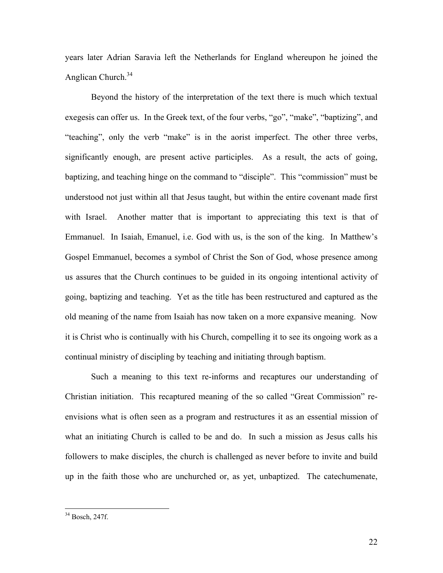years later Adrian Saravia left the Netherlands for England whereupon he joined the Anglican Church.<sup>34</sup>

Beyond the history of the interpretation of the text there is much which textual exegesis can offer us. In the Greek text, of the four verbs, "go", "make", "baptizing", and "teaching", only the verb "make" is in the aorist imperfect. The other three verbs, significantly enough, are present active participles. As a result, the acts of going, baptizing, and teaching hinge on the command to "disciple". This "commission" must be understood not just within all that Jesus taught, but within the entire covenant made first with Israel. Another matter that is important to appreciating this text is that of Emmanuel. In Isaiah, Emanuel, i.e. God with us, is the son of the king. In Matthew's Gospel Emmanuel, becomes a symbol of Christ the Son of God, whose presence among us assures that the Church continues to be guided in its ongoing intentional activity of going, baptizing and teaching. Yet as the title has been restructured and captured as the old meaning of the name from Isaiah has now taken on a more expansive meaning. Now it is Christ who is continually with his Church, compelling it to see its ongoing work as a continual ministry of discipling by teaching and initiating through baptism.

Such a meaning to this text re-informs and recaptures our understanding of Christian initiation. This recaptured meaning of the so called "Great Commission" reenvisions what is often seen as a program and restructures it as an essential mission of what an initiating Church is called to be and do. In such a mission as Jesus calls his followers to make disciples, the church is challenged as never before to invite and build up in the faith those who are unchurched or, as yet, unbaptized. The catechumenate,

<sup>34</sup> Bosch, 247f.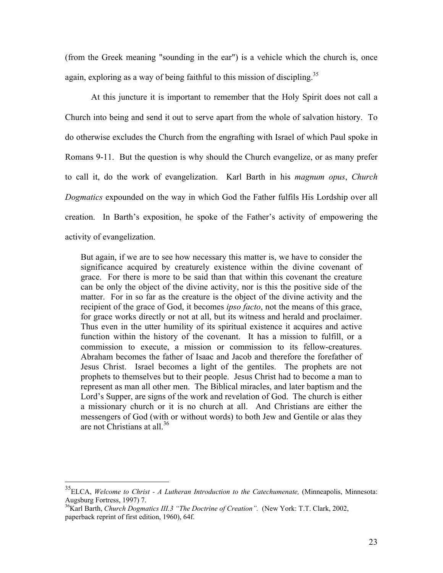(from the Greek meaning "sounding in the ear") is a vehicle which the church is, once again, exploring as a way of being faithful to this mission of discipling.<sup>35</sup>

 At this juncture it is important to remember that the Holy Spirit does not call a Church into being and send it out to serve apart from the whole of salvation history. To do otherwise excludes the Church from the engrafting with Israel of which Paul spoke in Romans 9-11. But the question is why should the Church evangelize, or as many prefer to call it, do the work of evangelization. Karl Barth in his *magnum opus*, *Church Dogmatics* expounded on the way in which God the Father fulfils His Lordship over all creation. In Barth's exposition, he spoke of the Father's activity of empowering the activity of evangelization.

But again, if we are to see how necessary this matter is, we have to consider the significance acquired by creaturely existence within the divine covenant of grace. For there is more to be said than that within this covenant the creature can be only the object of the divine activity, nor is this the positive side of the matter. For in so far as the creature is the object of the divine activity and the recipient of the grace of God, it becomes *ipso facto*, not the means of this grace, for grace works directly or not at all, but its witness and herald and proclaimer. Thus even in the utter humility of its spiritual existence it acquires and active function within the history of the covenant. It has a mission to fulfill, or a commission to execute, a mission or commission to its fellow-creatures. Abraham becomes the father of Isaac and Jacob and therefore the forefather of Jesus Christ. Israel becomes a light of the gentiles. The prophets are not prophets to themselves but to their people. Jesus Christ had to become a man to represent as man all other men. The Biblical miracles, and later baptism and the Lord's Supper, are signs of the work and revelation of God. The church is either a missionary church or it is no church at all. And Christians are either the messengers of God (with or without words) to both Jew and Gentile or alas they are not Christians at all.<sup>36</sup>

<u>.</u>

<sup>35</sup>ELCA, *Welcome to Christ - A Lutheran Introduction to the Catechumenate,* (Minneapolis, Minnesota: Augsburg Fortress, 1997) 7.<br><sup>36</sup>Karl Barth, *Church Dogmatics III.3 "The Doctrine of Creation".* (New York: T.T. Clark, 2002,

paperback reprint of first edition, 1960), 64f.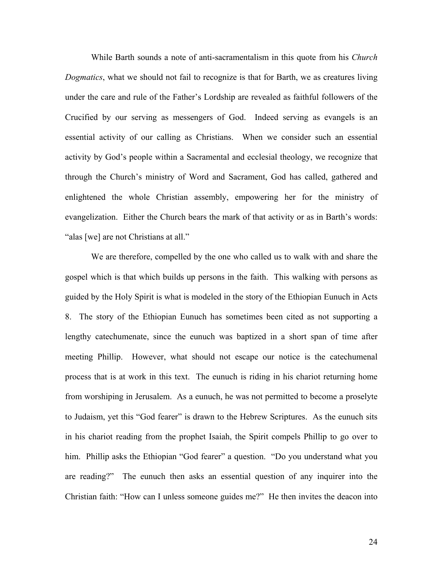While Barth sounds a note of anti-sacramentalism in this quote from his *Church Dogmatics*, what we should not fail to recognize is that for Barth, we as creatures living under the care and rule of the Father's Lordship are revealed as faithful followers of the Crucified by our serving as messengers of God. Indeed serving as evangels is an essential activity of our calling as Christians. When we consider such an essential activity by God's people within a Sacramental and ecclesial theology, we recognize that through the Church's ministry of Word and Sacrament, God has called, gathered and enlightened the whole Christian assembly, empowering her for the ministry of evangelization. Either the Church bears the mark of that activity or as in Barth's words: "alas [we] are not Christians at all."

We are therefore, compelled by the one who called us to walk with and share the gospel which is that which builds up persons in the faith. This walking with persons as guided by the Holy Spirit is what is modeled in the story of the Ethiopian Eunuch in Acts 8. The story of the Ethiopian Eunuch has sometimes been cited as not supporting a lengthy catechumenate, since the eunuch was baptized in a short span of time after meeting Phillip. However, what should not escape our notice is the catechumenal process that is at work in this text. The eunuch is riding in his chariot returning home from worshiping in Jerusalem. As a eunuch, he was not permitted to become a proselyte to Judaism, yet this "God fearer" is drawn to the Hebrew Scriptures. As the eunuch sits in his chariot reading from the prophet Isaiah, the Spirit compels Phillip to go over to him. Phillip asks the Ethiopian "God fearer" a question. "Do you understand what you are reading?" The eunuch then asks an essential question of any inquirer into the Christian faith: "How can I unless someone guides me?" He then invites the deacon into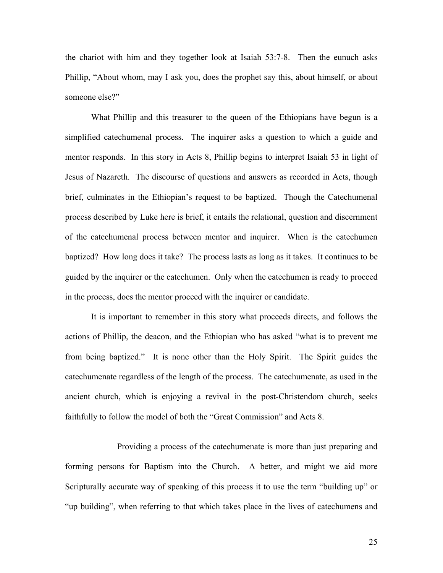the chariot with him and they together look at Isaiah 53:7-8. Then the eunuch asks Phillip, "About whom, may I ask you, does the prophet say this, about himself, or about someone else?"

What Phillip and this treasurer to the queen of the Ethiopians have begun is a simplified catechumenal process. The inquirer asks a question to which a guide and mentor responds. In this story in Acts 8, Phillip begins to interpret Isaiah 53 in light of Jesus of Nazareth. The discourse of questions and answers as recorded in Acts, though brief, culminates in the Ethiopian's request to be baptized. Though the Catechumenal process described by Luke here is brief, it entails the relational, question and discernment of the catechumenal process between mentor and inquirer. When is the catechumen baptized? How long does it take? The process lasts as long as it takes. It continues to be guided by the inquirer or the catechumen. Only when the catechumen is ready to proceed in the process, does the mentor proceed with the inquirer or candidate.

It is important to remember in this story what proceeds directs, and follows the actions of Phillip, the deacon, and the Ethiopian who has asked "what is to prevent me from being baptized." It is none other than the Holy Spirit. The Spirit guides the catechumenate regardless of the length of the process. The catechumenate, as used in the ancient church, which is enjoying a revival in the post-Christendom church, seeks faithfully to follow the model of both the "Great Commission" and Acts 8.

 Providing a process of the catechumenate is more than just preparing and forming persons for Baptism into the Church. A better, and might we aid more Scripturally accurate way of speaking of this process it to use the term "building up" or "up building", when referring to that which takes place in the lives of catechumens and

25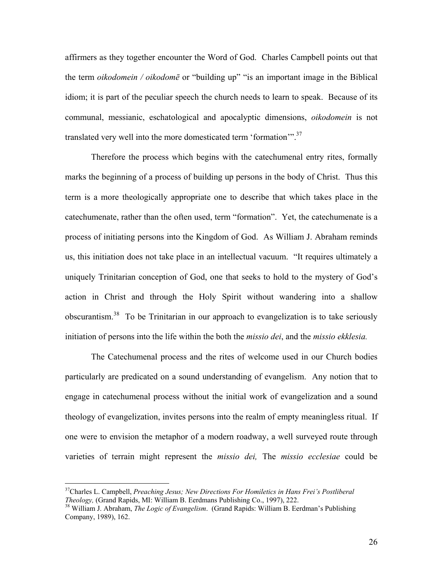affirmers as they together encounter the Word of God. Charles Campbell points out that the term *oikodomein / oikodomē* or "building up" "is an important image in the Biblical idiom; it is part of the peculiar speech the church needs to learn to speak. Because of its communal, messianic, eschatological and apocalyptic dimensions, *oikodomein* is not translated very well into the more domesticated term 'formation'".<sup>37</sup>

Therefore the process which begins with the catechumenal entry rites, formally marks the beginning of a process of building up persons in the body of Christ. Thus this term is a more theologically appropriate one to describe that which takes place in the catechumenate, rather than the often used, term "formation". Yet, the catechumenate is a process of initiating persons into the Kingdom of God. As William J. Abraham reminds us, this initiation does not take place in an intellectual vacuum. "It requires ultimately a uniquely Trinitarian conception of God, one that seeks to hold to the mystery of God's action in Christ and through the Holy Spirit without wandering into a shallow obscurantism.38 To be Trinitarian in our approach to evangelization is to take seriously initiation of persons into the life within the both the *missio dei*, and the *missio ekklesia.* 

 The Catechumenal process and the rites of welcome used in our Church bodies particularly are predicated on a sound understanding of evangelism. Any notion that to engage in catechumenal process without the initial work of evangelization and a sound theology of evangelization, invites persons into the realm of empty meaningless ritual. If one were to envision the metaphor of a modern roadway, a well surveyed route through varieties of terrain might represent the *missio dei,* The *missio ecclesiae* could be

<sup>&</sup>lt;sup>37</sup>Charles L. Campbell, *Preaching Jesus; New Directions For Homiletics in Hans Frei's Postliberal Theology*, (Grand Rapids, MI: William B. Eerdmans Publishing Co., 1997), 222.

<sup>&</sup>lt;sup>38</sup> William J. Abraham, *The Logic of Evangelism*. (Grand Rapids: William B. Eerdman's Publishing Company, 1989), 162.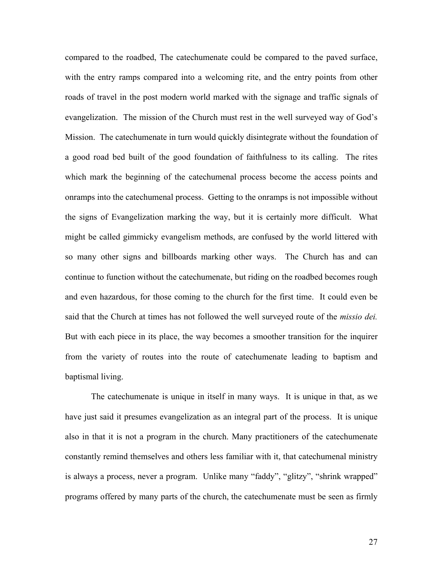compared to the roadbed, The catechumenate could be compared to the paved surface, with the entry ramps compared into a welcoming rite, and the entry points from other roads of travel in the post modern world marked with the signage and traffic signals of evangelization. The mission of the Church must rest in the well surveyed way of God's Mission. The catechumenate in turn would quickly disintegrate without the foundation of a good road bed built of the good foundation of faithfulness to its calling. The rites which mark the beginning of the catechumenal process become the access points and onramps into the catechumenal process. Getting to the onramps is not impossible without the signs of Evangelization marking the way, but it is certainly more difficult. What might be called gimmicky evangelism methods, are confused by the world littered with so many other signs and billboards marking other ways. The Church has and can continue to function without the catechumenate, but riding on the roadbed becomes rough and even hazardous, for those coming to the church for the first time. It could even be said that the Church at times has not followed the well surveyed route of the *missio dei.*  But with each piece in its place, the way becomes a smoother transition for the inquirer from the variety of routes into the route of catechumenate leading to baptism and baptismal living.

 The catechumenate is unique in itself in many ways. It is unique in that, as we have just said it presumes evangelization as an integral part of the process. It is unique also in that it is not a program in the church. Many practitioners of the catechumenate constantly remind themselves and others less familiar with it, that catechumenal ministry is always a process, never a program. Unlike many "faddy", "glitzy", "shrink wrapped" programs offered by many parts of the church, the catechumenate must be seen as firmly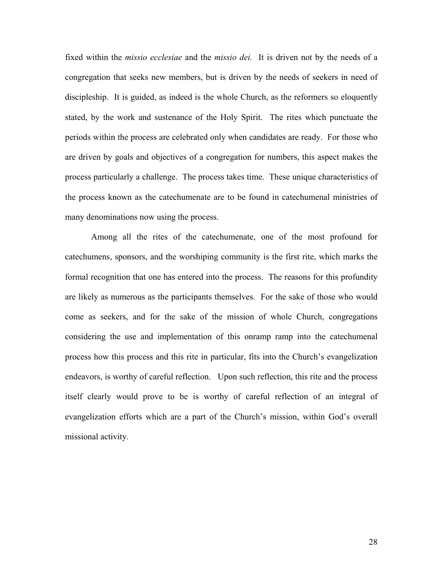fixed within the *missio ecclesiae* and the *missio dei.* It is driven not by the needs of a congregation that seeks new members, but is driven by the needs of seekers in need of discipleship. It is guided, as indeed is the whole Church, as the reformers so eloquently stated, by the work and sustenance of the Holy Spirit. The rites which punctuate the periods within the process are celebrated only when candidates are ready. For those who are driven by goals and objectives of a congregation for numbers, this aspect makes the process particularly a challenge. The process takes time. These unique characteristics of the process known as the catechumenate are to be found in catechumenal ministries of many denominations now using the process.

 Among all the rites of the catechumenate, one of the most profound for catechumens, sponsors, and the worshiping community is the first rite, which marks the formal recognition that one has entered into the process. The reasons for this profundity are likely as numerous as the participants themselves. For the sake of those who would come as seekers, and for the sake of the mission of whole Church, congregations considering the use and implementation of this onramp ramp into the catechumenal process how this process and this rite in particular, fits into the Church's evangelization endeavors, is worthy of careful reflection. Upon such reflection, this rite and the process itself clearly would prove to be is worthy of careful reflection of an integral of evangelization efforts which are a part of the Church's mission, within God's overall missional activity.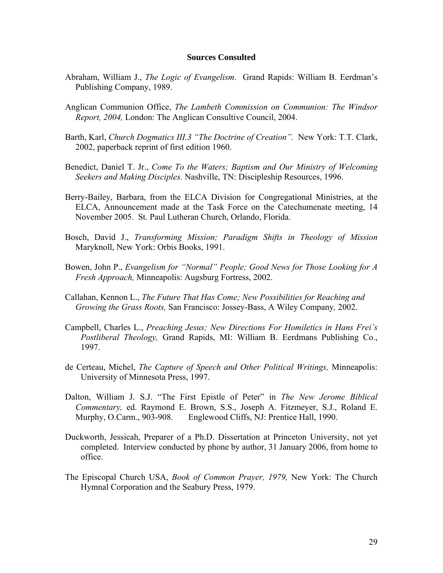### **Sources Consulted**

- Abraham, William J., *The Logic of Evangelism*. Grand Rapids: William B. Eerdman's Publishing Company, 1989.
- Anglican Communion Office, *The Lambeth Commission on Communion: The Windsor Report, 2004,* London: The Anglican Consultive Council, 2004.
- Barth, Karl, *Church Dogmatics III.3 "The Doctrine of Creation".* New York: T.T. Clark, 2002, paperback reprint of first edition 1960.
- Benedict, Daniel T. Jr., *Come To the Waters; Baptism and Our Ministry of Welcoming Seekers and Making Disciples.* Nashville, TN: Discipleship Resources, 1996.
- Berry-Bailey, Barbara, from the ELCA Division for Congregational Ministries, at the ELCA, Announcement made at the Task Force on the Catechumenate meeting, 14 November 2005. St. Paul Lutheran Church, Orlando, Florida.
- Bosch, David J., *Transforming Mission; Paradigm Shifts in Theology of Mission* Maryknoll, New York: Orbis Books, 1991.
- Bowen, John P., *Evangelism for "Normal" People; Good News for Those Looking for A Fresh Approach,* Minneapolis: Augsburg Fortress, 2002.
- Callahan, Kennon L., *The Future That Has Come; New Possibilities for Reaching and Growing the Grass Roots,* San Francisco: Jossey-Bass, A Wiley Company*,* 2002.
- Campbell, Charles L., *Preaching Jesus; New Directions For Homiletics in Hans Frei's Postliberal Theology,* Grand Rapids, MI: William B. Eerdmans Publishing Co., 1997.
- de Certeau, Michel, *The Capture of Speech and Other Political Writings,* Minneapolis: University of Minnesota Press, 1997.
- Dalton, William J. S.J. "The First Epistle of Peter" in *The New Jerome Biblical Commentary,* ed. Raymond E. Brown, S.S., Joseph A. Fitzmeyer, S.J., Roland E. Murphy, O.Carm., 903-908. Englewood Cliffs, NJ: Prentice Hall, 1990.
- Duckworth, Jessicah, Preparer of a Ph.D. Dissertation at Princeton University, not yet completed. Interview conducted by phone by author, 31 January 2006, from home to office.
- The Episcopal Church USA, *Book of Common Prayer, 1979,* New York: The Church Hymnal Corporation and the Seabury Press, 1979.